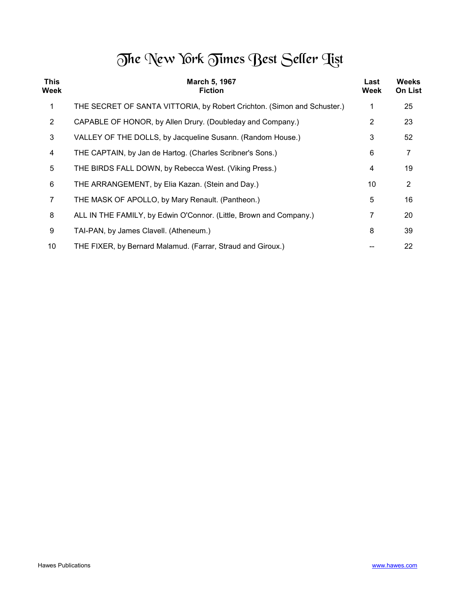## The New York Times Best Seller Tist

| <b>This</b><br>Week | March 5, 1967<br><b>Fiction</b>                                         | Last<br>Week | <b>Weeks</b><br><b>On List</b> |
|---------------------|-------------------------------------------------------------------------|--------------|--------------------------------|
| 1                   | THE SECRET OF SANTA VITTORIA, by Robert Crichton. (Simon and Schuster.) |              | 25                             |
| $\overline{2}$      | CAPABLE OF HONOR, by Allen Drury. (Doubleday and Company.)              | 2            | 23                             |
| $\mathbf{3}$        | VALLEY OF THE DOLLS, by Jacqueline Susann. (Random House.)              | 3            | 52                             |
| 4                   | THE CAPTAIN, by Jan de Hartog. (Charles Scribner's Sons.)               | 6            | 7                              |
| 5                   | THE BIRDS FALL DOWN, by Rebecca West. (Viking Press.)                   | 4            | 19                             |
| $\,6$               | THE ARRANGEMENT, by Elia Kazan. (Stein and Day.)                        | 10           | $\overline{2}$                 |
| 7                   | THE MASK OF APOLLO, by Mary Renault. (Pantheon.)                        | 5            | 16                             |
| 8                   | ALL IN THE FAMILY, by Edwin O'Connor. (Little, Brown and Company.)      | 7            | 20                             |
| 9                   | TAI-PAN, by James Clavell. (Atheneum.)                                  | 8            | 39                             |
| 10                  | THE FIXER, by Bernard Malamud. (Farrar, Straud and Giroux.)             |              | 22                             |